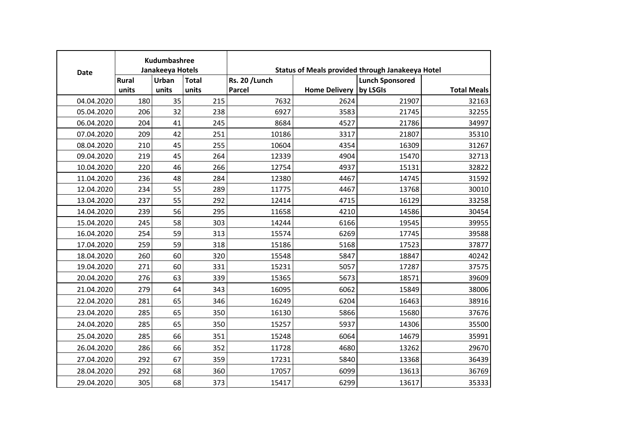| <b>Date</b> |       | Kudumbashree<br>Janakeeya Hotels |              |                       |                      | <b>Status of Meals provided through Janakeeya Hotel</b> |                    |
|-------------|-------|----------------------------------|--------------|-----------------------|----------------------|---------------------------------------------------------|--------------------|
|             | Rural | Urban                            | <b>Total</b> | <b>Rs. 20 / Lunch</b> |                      | <b>Lunch Sponsored</b>                                  |                    |
|             | units | units                            | units        | <b>Parcel</b>         | <b>Home Delivery</b> | by LSGIs                                                | <b>Total Meals</b> |
| 04.04.2020  | 180   | 35                               | 215          | 7632                  | 2624                 | 21907                                                   | 32163              |
| 05.04.2020  | 206   | 32                               | 238          | 6927                  | 3583                 | 21745                                                   | 32255              |
| 06.04.2020  | 204   | 41                               | 245          | 8684                  | 4527                 | 21786                                                   | 34997              |
| 07.04.2020  | 209   | 42                               | 251          | 10186                 | 3317                 | 21807                                                   | 35310              |
| 08.04.2020  | 210   | 45                               | 255          | 10604                 | 4354                 | 16309                                                   | 31267              |
| 09.04.2020  | 219   | 45                               | 264          | 12339                 | 4904                 | 15470                                                   | 32713              |
| 10.04.2020  | 220   | 46                               | 266          | 12754                 | 4937                 | 15131                                                   | 32822              |
| 11.04.2020  | 236   | 48                               | 284          | 12380                 | 4467                 | 14745                                                   | 31592              |
| 12.04.2020  | 234   | 55                               | 289          | 11775                 | 4467                 | 13768                                                   | 30010              |
| 13.04.2020  | 237   | 55                               | 292          | 12414                 | 4715                 | 16129                                                   | 33258              |
| 14.04.2020  | 239   | 56                               | 295          | 11658                 | 4210                 | 14586                                                   | 30454              |
| 15.04.2020  | 245   | 58                               | 303          | 14244                 | 6166                 | 19545                                                   | 39955              |
| 16.04.2020  | 254   | 59                               | 313          | 15574                 | 6269                 | 17745                                                   | 39588              |
| 17.04.2020  | 259   | 59                               | 318          | 15186                 | 5168                 | 17523                                                   | 37877              |
| 18.04.2020  | 260   | 60                               | 320          | 15548                 | 5847                 | 18847                                                   | 40242              |
| 19.04.2020  | 271   | 60                               | 331          | 15231                 | 5057                 | 17287                                                   | 37575              |
| 20.04.2020  | 276   | 63                               | 339          | 15365                 | 5673                 | 18571                                                   | 39609              |
| 21.04.2020  | 279   | 64                               | 343          | 16095                 | 6062                 | 15849                                                   | 38006              |
| 22.04.2020  | 281   | 65                               | 346          | 16249                 | 6204                 | 16463                                                   | 38916              |
| 23.04.2020  | 285   | 65                               | 350          | 16130                 | 5866                 | 15680                                                   | 37676              |
| 24.04.2020  | 285   | 65                               | 350          | 15257                 | 5937                 | 14306                                                   | 35500              |
| 25.04.2020  | 285   | 66                               | 351          | 15248                 | 6064                 | 14679                                                   | 35991              |
| 26.04.2020  | 286   | 66                               | 352          | 11728                 | 4680                 | 13262                                                   | 29670              |
| 27.04.2020  | 292   | 67                               | 359          | 17231                 | 5840                 | 13368                                                   | 36439              |
| 28.04.2020  | 292   | 68                               | 360          | 17057                 | 6099                 | 13613                                                   | 36769              |
| 29.04.2020  | 305   | 68                               | 373          | 15417                 | 6299                 | 13617                                                   | 35333              |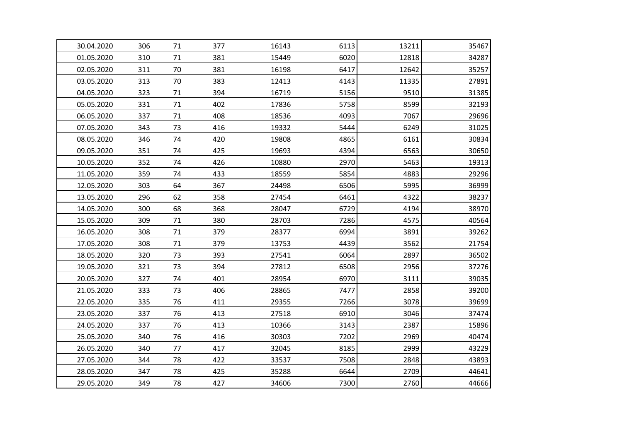| 30.04.2020 | 306 | 71 | 377 | 16143 | 6113 | 13211 | 35467 |
|------------|-----|----|-----|-------|------|-------|-------|
| 01.05.2020 | 310 | 71 | 381 | 15449 | 6020 | 12818 | 34287 |
| 02.05.2020 | 311 | 70 | 381 | 16198 | 6417 | 12642 | 35257 |
| 03.05.2020 | 313 | 70 | 383 | 12413 | 4143 | 11335 | 27891 |
| 04.05.2020 | 323 | 71 | 394 | 16719 | 5156 | 9510  | 31385 |
| 05.05.2020 | 331 | 71 | 402 | 17836 | 5758 | 8599  | 32193 |
| 06.05.2020 | 337 | 71 | 408 | 18536 | 4093 | 7067  | 29696 |
| 07.05.2020 | 343 | 73 | 416 | 19332 | 5444 | 6249  | 31025 |
| 08.05.2020 | 346 | 74 | 420 | 19808 | 4865 | 6161  | 30834 |
| 09.05.2020 | 351 | 74 | 425 | 19693 | 4394 | 6563  | 30650 |
| 10.05.2020 | 352 | 74 | 426 | 10880 | 2970 | 5463  | 19313 |
| 11.05.2020 | 359 | 74 | 433 | 18559 | 5854 | 4883  | 29296 |
| 12.05.2020 | 303 | 64 | 367 | 24498 | 6506 | 5995  | 36999 |
| 13.05.2020 | 296 | 62 | 358 | 27454 | 6461 | 4322  | 38237 |
| 14.05.2020 | 300 | 68 | 368 | 28047 | 6729 | 4194  | 38970 |
| 15.05.2020 | 309 | 71 | 380 | 28703 | 7286 | 4575  | 40564 |
| 16.05.2020 | 308 | 71 | 379 | 28377 | 6994 | 3891  | 39262 |
| 17.05.2020 | 308 | 71 | 379 | 13753 | 4439 | 3562  | 21754 |
| 18.05.2020 | 320 | 73 | 393 | 27541 | 6064 | 2897  | 36502 |
| 19.05.2020 | 321 | 73 | 394 | 27812 | 6508 | 2956  | 37276 |
| 20.05.2020 | 327 | 74 | 401 | 28954 | 6970 | 3111  | 39035 |
| 21.05.2020 | 333 | 73 | 406 | 28865 | 7477 | 2858  | 39200 |
| 22.05.2020 | 335 | 76 | 411 | 29355 | 7266 | 3078  | 39699 |
| 23.05.2020 | 337 | 76 | 413 | 27518 | 6910 | 3046  | 37474 |
| 24.05.2020 | 337 | 76 | 413 | 10366 | 3143 | 2387  | 15896 |
| 25.05.2020 | 340 | 76 | 416 | 30303 | 7202 | 2969  | 40474 |
| 26.05.2020 | 340 | 77 | 417 | 32045 | 8185 | 2999  | 43229 |
| 27.05.2020 | 344 | 78 | 422 | 33537 | 7508 | 2848  | 43893 |
| 28.05.2020 | 347 | 78 | 425 | 35288 | 6644 | 2709  | 44641 |
| 29.05.2020 | 349 | 78 | 427 | 34606 | 7300 | 2760  | 44666 |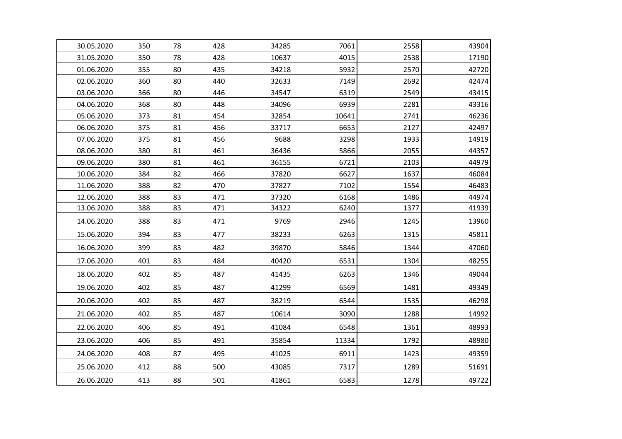| 30.05.2020 | 350 | 78 | 428 | 34285 | 7061  | 2558 | 43904 |
|------------|-----|----|-----|-------|-------|------|-------|
| 31.05.2020 | 350 | 78 | 428 | 10637 | 4015  | 2538 | 17190 |
| 01.06.2020 | 355 | 80 | 435 | 34218 | 5932  | 2570 | 42720 |
| 02.06.2020 | 360 | 80 | 440 | 32633 | 7149  | 2692 | 42474 |
| 03.06.2020 | 366 | 80 | 446 | 34547 | 6319  | 2549 | 43415 |
| 04.06.2020 | 368 | 80 | 448 | 34096 | 6939  | 2281 | 43316 |
| 05.06.2020 | 373 | 81 | 454 | 32854 | 10641 | 2741 | 46236 |
| 06.06.2020 | 375 | 81 | 456 | 33717 | 6653  | 2127 | 42497 |
| 07.06.2020 | 375 | 81 | 456 | 9688  | 3298  | 1933 | 14919 |
| 08.06.2020 | 380 | 81 | 461 | 36436 | 5866  | 2055 | 44357 |
| 09.06.2020 | 380 | 81 | 461 | 36155 | 6721  | 2103 | 44979 |
| 10.06.2020 | 384 | 82 | 466 | 37820 | 6627  | 1637 | 46084 |
| 11.06.2020 | 388 | 82 | 470 | 37827 | 7102  | 1554 | 46483 |
| 12.06.2020 | 388 | 83 | 471 | 37320 | 6168  | 1486 | 44974 |
| 13.06.2020 | 388 | 83 | 471 | 34322 | 6240  | 1377 | 41939 |
| 14.06.2020 | 388 | 83 | 471 | 9769  | 2946  | 1245 | 13960 |
| 15.06.2020 | 394 | 83 | 477 | 38233 | 6263  | 1315 | 45811 |
| 16.06.2020 | 399 | 83 | 482 | 39870 | 5846  | 1344 | 47060 |
| 17.06.2020 | 401 | 83 | 484 | 40420 | 6531  | 1304 | 48255 |
| 18.06.2020 | 402 | 85 | 487 | 41435 | 6263  | 1346 | 49044 |
| 19.06.2020 | 402 | 85 | 487 | 41299 | 6569  | 1481 | 49349 |
| 20.06.2020 | 402 | 85 | 487 | 38219 | 6544  | 1535 | 46298 |
| 21.06.2020 | 402 | 85 | 487 | 10614 | 3090  | 1288 | 14992 |
| 22.06.2020 | 406 | 85 | 491 | 41084 | 6548  | 1361 | 48993 |
| 23.06.2020 | 406 | 85 | 491 | 35854 | 11334 | 1792 | 48980 |
| 24.06.2020 | 408 | 87 | 495 | 41025 | 6911  | 1423 | 49359 |
| 25.06.2020 | 412 | 88 | 500 | 43085 | 7317  | 1289 | 51691 |
| 26.06.2020 | 413 | 88 | 501 | 41861 | 6583  | 1278 | 49722 |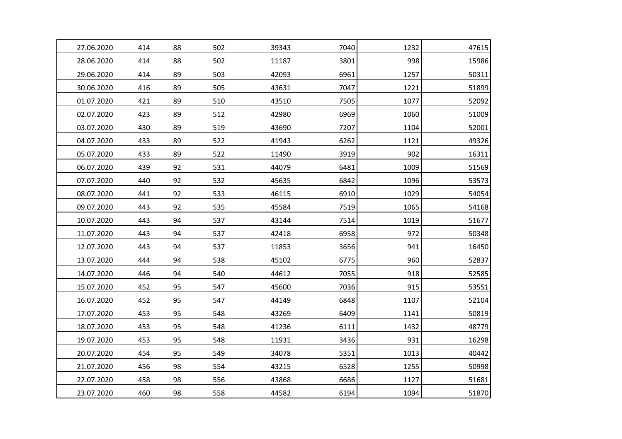| 27.06.2020 | 414 | 88 | 502 | 39343 | 7040 | 1232 | 47615 |
|------------|-----|----|-----|-------|------|------|-------|
| 28.06.2020 | 414 | 88 | 502 | 11187 | 3801 | 998  | 15986 |
| 29.06.2020 | 414 | 89 | 503 | 42093 | 6961 | 1257 | 50311 |
| 30.06.2020 | 416 | 89 | 505 | 43631 | 7047 | 1221 | 51899 |
| 01.07.2020 | 421 | 89 | 510 | 43510 | 7505 | 1077 | 52092 |
| 02.07.2020 | 423 | 89 | 512 | 42980 | 6969 | 1060 | 51009 |
| 03.07.2020 | 430 | 89 | 519 | 43690 | 7207 | 1104 | 52001 |
| 04.07.2020 | 433 | 89 | 522 | 41943 | 6262 | 1121 | 49326 |
| 05.07.2020 | 433 | 89 | 522 | 11490 | 3919 | 902  | 16311 |
| 06.07.2020 | 439 | 92 | 531 | 44079 | 6481 | 1009 | 51569 |
| 07.07.2020 | 440 | 92 | 532 | 45635 | 6842 | 1096 | 53573 |
| 08.07.2020 | 441 | 92 | 533 | 46115 | 6910 | 1029 | 54054 |
| 09.07.2020 | 443 | 92 | 535 | 45584 | 7519 | 1065 | 54168 |
| 10.07.2020 | 443 | 94 | 537 | 43144 | 7514 | 1019 | 51677 |
| 11.07.2020 | 443 | 94 | 537 | 42418 | 6958 | 972  | 50348 |
| 12.07.2020 | 443 | 94 | 537 | 11853 | 3656 | 941  | 16450 |
| 13.07.2020 | 444 | 94 | 538 | 45102 | 6775 | 960  | 52837 |
| 14.07.2020 | 446 | 94 | 540 | 44612 | 7055 | 918  | 52585 |
| 15.07.2020 | 452 | 95 | 547 | 45600 | 7036 | 915  | 53551 |
| 16.07.2020 | 452 | 95 | 547 | 44149 | 6848 | 1107 | 52104 |
| 17.07.2020 | 453 | 95 | 548 | 43269 | 6409 | 1141 | 50819 |
| 18.07.2020 | 453 | 95 | 548 | 41236 | 6111 | 1432 | 48779 |
| 19.07.2020 | 453 | 95 | 548 | 11931 | 3436 | 931  | 16298 |
| 20.07.2020 | 454 | 95 | 549 | 34078 | 5351 | 1013 | 40442 |
| 21.07.2020 | 456 | 98 | 554 | 43215 | 6528 | 1255 | 50998 |
| 22.07.2020 | 458 | 98 | 556 | 43868 | 6686 | 1127 | 51681 |
| 23.07.2020 | 460 | 98 | 558 | 44582 | 6194 | 1094 | 51870 |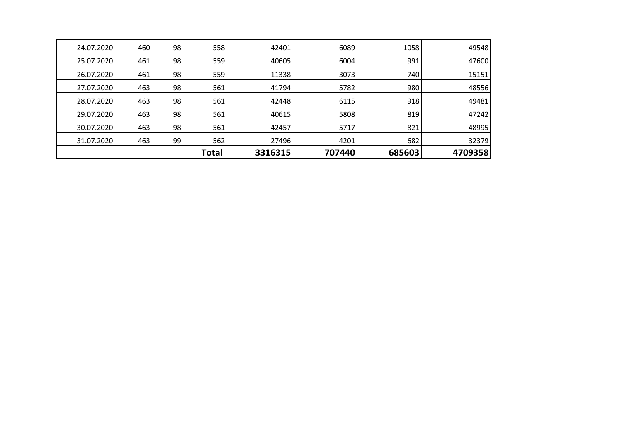|            |     |    | <b>Total</b> | 3316315 | 707440 | 685603 | 4709358 |
|------------|-----|----|--------------|---------|--------|--------|---------|
| 31.07.2020 | 463 | 99 | 562          | 27496   | 4201   | 682    | 32379   |
| 30.07.2020 | 463 | 98 | 561          | 42457   | 5717   | 821    | 48995   |
| 29.07.2020 | 463 | 98 | 561          | 40615   | 5808   | 819    | 47242   |
| 28.07.2020 | 463 | 98 | 561          | 42448   | 6115   | 918    | 49481   |
| 27.07.2020 | 463 | 98 | 561          | 41794   | 5782   | 980    | 48556   |
| 26.07.2020 | 461 | 98 | 559          | 11338   | 3073   | 740    | 15151   |
| 25.07.2020 | 461 | 98 | 559          | 40605   | 6004   | 991    | 47600   |
| 24.07.2020 | 460 | 98 | 558          | 42401   | 6089   | 1058   | 49548   |